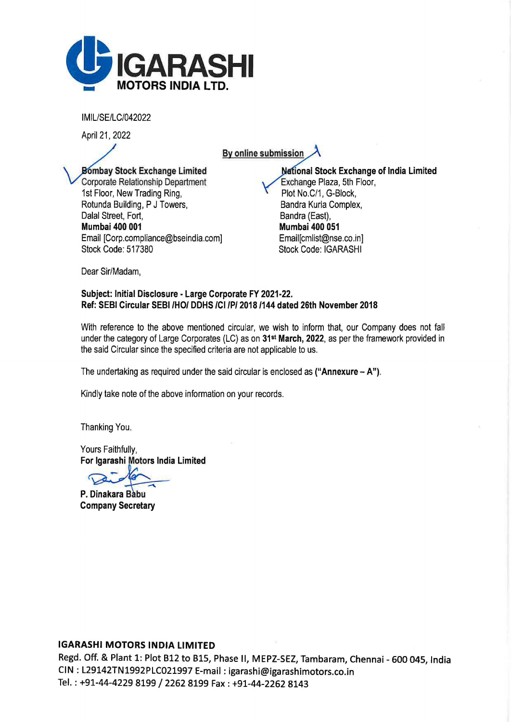

IMIL/SE/LC/042022

April 21, 2022

By online submission

Bombay Stock Exchange Limited Corporate Relationship Department 1st Floor, New Trading Ring, Rotunda Building, P J Towers, Dalal Street, Fort, Mumbai 400 001 Email [Corp.compliance@bseindia.com] Stock Code: 517380

**National Stock Exchange of India Limited** Exchange Plaza, 5th Floor, Plot No.C/1, G-Block, Sandra Kurla Complex, Bandra (East), Mumbai 400 051 Email[cmlist@nse.co.in] Stock Code: IGARASHI

Dear Sir/Madam,

## Subject: Initial Disclosure - Large Corporate FY 2021-22. Ref: SEBI Circular SEBI /HO/ DDHS /Cl /P/ 2018 /144 dated 26th November 2018

With reference to the above mentioned circular, we wish to inform that, our Company does not fall under the category of Large Corporates (LC) as on 31<sup>st</sup> March, 2022, as per the framework provided in the said Circular since the specified criteria are not applicable to us.

The undertaking as required under the said circular is enclosed as ("Annexure  $- A$ ").

Kindly take note of the above information on your records.

Thanking You.

Yours Faithfully, For Igarashi Motors India Limited

P. Dinakara Babu Company Secretary

## IGARASHI MOTORS INDIA LIMITED

Regd. Off. & Plant 1: Plot 812 to BlS, Phase II, MEPZ-SEZ, Tambaram, Chennai - 600 045, India CIN : L29142TN1992PLC021997 E-mail: igarashi@igarashimotors.co.in Tel.: +91-44-4229 8199 / 2262 8199 Fax: +91-44-2262 8143